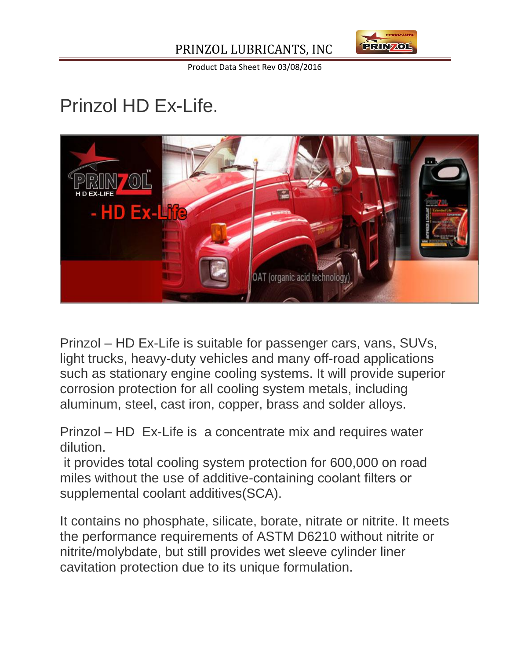



Product Data Sheet Rev 03/08/2016

# Prinzol HD Ex-Life.



Prinzol – HD Ex-Life is suitable for passenger cars, vans, SUVs, light trucks, heavy-duty vehicles and many off-road applications such as stationary engine cooling systems. It will provide superior corrosion protection for all cooling system metals, including aluminum, steel, cast iron, copper, brass and solder alloys.

Prinzol – HD Ex-Life is a concentrate mix and requires water dilution.

it provides total cooling system protection for 600,000 on road miles without the use of additive-containing coolant filters or supplemental coolant additives(SCA).

It contains no phosphate, silicate, borate, nitrate or nitrite. It meets the performance requirements of ASTM D6210 without nitrite or nitrite/molybdate, but still provides wet sleeve cylinder liner cavitation protection due to its unique formulation.